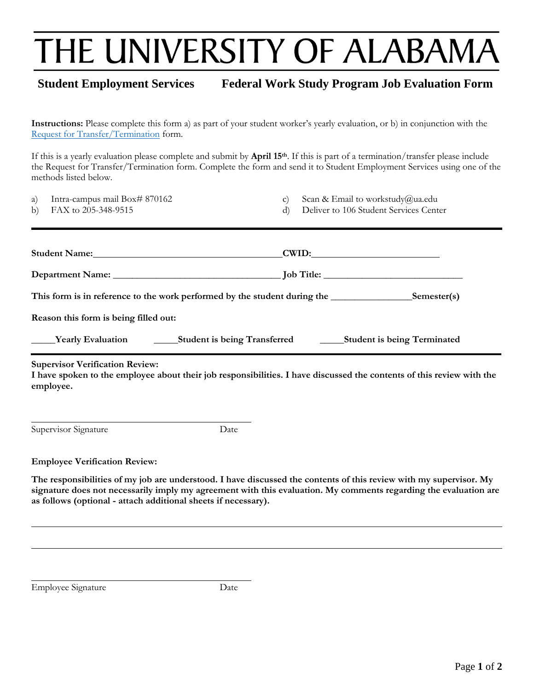## THE UNIVERSITY OF ALABAMA

## **Student Employment Services Federal Work Study Program Job Evaluation Form**

**Instructions:** Please complete this form a) as part of your student worker's yearly evaluation, or b) in conjunction with the [Request for Transfer/Termination](http://financialaid.ua.edu/workstudy/) form.

If this is a yearly evaluation please complete and submit by **April 15th**. If this is part of a termination/transfer please include the Request for Transfer/Termination form. Complete the form and send it to Student Employment Services using one of the methods listed below.

| a) | Intra-campus mail Box# 870162 |  |
|----|-------------------------------|--|
|    |                               |  |

b) FAX to 205-348-9515

- c) Scan & Email to workstudy@ua.edu
- d) Deliver to 106 Student Services Center

|                                                                                       | Student Name: Manuel Allen Name and Allen Name and Allen Name and Allen Name and Allen Name and Allen Name and Allen Name and Allen Name and Allen Name and Allen Name and Allen Name and Allen Name and Allen Name and Allen | CWID: |  |  |  |  |  |  |  |
|---------------------------------------------------------------------------------------|-------------------------------------------------------------------------------------------------------------------------------------------------------------------------------------------------------------------------------|-------|--|--|--|--|--|--|--|
|                                                                                       |                                                                                                                                                                                                                               |       |  |  |  |  |  |  |  |
| This form is in reference to the work performed by the student during the Semester(s) |                                                                                                                                                                                                                               |       |  |  |  |  |  |  |  |
| Reason this form is being filled out:                                                 |                                                                                                                                                                                                                               |       |  |  |  |  |  |  |  |
|                                                                                       | <b>Example 2018</b> Yearly Evaluation <b>Example 2018</b> Student is being Student is being Terminated <b>Example 2019</b>                                                                                                    |       |  |  |  |  |  |  |  |

**Supervisor Verification Review:**

**I have spoken to the employee about their job responsibilities. I have discussed the contents of this review with the employee.** 

Supervisor Signature Date

**Employee Verification Review:**

**The responsibilities of my job are understood. I have discussed the contents of this review with my supervisor. My signature does not necessarily imply my agreement with this evaluation. My comments regarding the evaluation are as follows (optional - attach additional sheets if necessary).**

Employee Signature Date